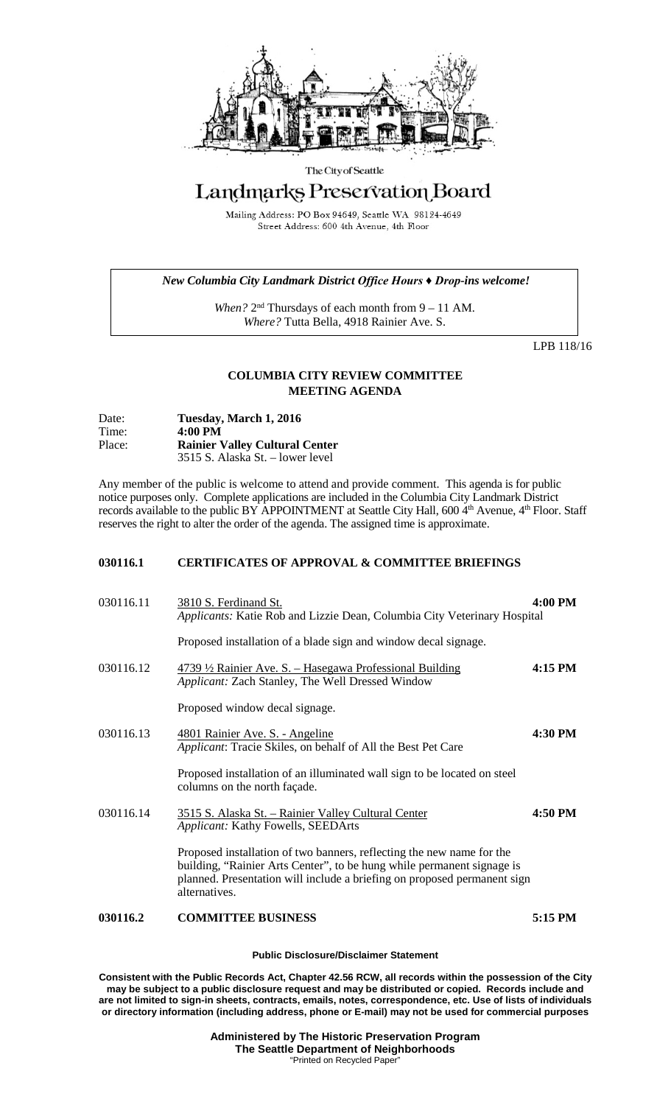

### The City of Seattle

# Landmarks Preservation Board

Mailing Address: PO Box 94649, Seattle WA 98124-4649 Street Address: 600 4th Avenue, 4th Floor

## *New Columbia City Landmark District Office Hours ♦ Drop-ins welcome!*

*When?*  $2<sup>nd</sup>$  Thursdays of each month from 9 – 11 AM. *Where?* Tutta Bella, 4918 Rainier Ave. S.

LPB 118/16

# **COLUMBIA CITY REVIEW COMMITTEE MEETING AGENDA**

| Date:  | Tuesday, March 1, 2016                |
|--------|---------------------------------------|
| Time:  | 4:00 PM                               |
| Place: | <b>Rainier Valley Cultural Center</b> |
|        | 3515 S. Alaska St. – lower level      |

Any member of the public is welcome to attend and provide comment. This agenda is for public notice purposes only. Complete applications are included in the Columbia City Landmark District records available to the public BY APPOINTMENT at Seattle City Hall, 600 4<sup>th</sup> Avenue, 4<sup>th</sup> Floor. Staff reserves the right to alter the order of the agenda. The assigned time is approximate.

## **030116.1 CERTIFICATES OF APPROVAL & COMMITTEE BRIEFINGS**

| 030116.11 | 3810 S. Ferdinand St.<br>Applicants: Katie Rob and Lizzie Dean, Columbia City Veterinary Hospital                                                                                                                                            | 4:00 PM |
|-----------|----------------------------------------------------------------------------------------------------------------------------------------------------------------------------------------------------------------------------------------------|---------|
|           | Proposed installation of a blade sign and window decal signage.                                                                                                                                                                              |         |
| 030116.12 | 4739 ½ Rainier Ave. S. – Hasegawa Professional Building<br>Applicant: Zach Stanley, The Well Dressed Window                                                                                                                                  | 4:15 PM |
|           | Proposed window decal signage.                                                                                                                                                                                                               |         |
| 030116.13 | 4801 Rainier Ave. S. - Angeline<br>Applicant: Tracie Skiles, on behalf of All the Best Pet Care                                                                                                                                              | 4:30 PM |
|           | Proposed installation of an illuminated wall sign to be located on steel<br>columns on the north façade.                                                                                                                                     |         |
| 030116.14 | <u> 3515 S. Alaska St. – Rainier Valley Cultural Center</u><br><b>Applicant: Kathy Fowells, SEEDArts</b>                                                                                                                                     | 4:50 PM |
|           | Proposed installation of two banners, reflecting the new name for the<br>building, "Rainier Arts Center", to be hung while permanent signage is<br>planned. Presentation will include a briefing on proposed permanent sign<br>alternatives. |         |
| 030116.2  | <b>COMMITTEE BUSINESS</b>                                                                                                                                                                                                                    | 5:15 PM |

#### **Public Disclosure/Disclaimer Statement**

**Consistent with the Public Records Act, Chapter 42.56 RCW, all records within the possession of the City may be subject to a public disclosure request and may be distributed or copied. Records include and are not limited to sign-in sheets, contracts, emails, notes, correspondence, etc. Use of lists of individuals or directory information (including address, phone or E-mail) may not be used for commercial purposes**

> **Administered by The Historic Preservation Program The Seattle Department of Neighborhoods** "Printed on Recycled Pape